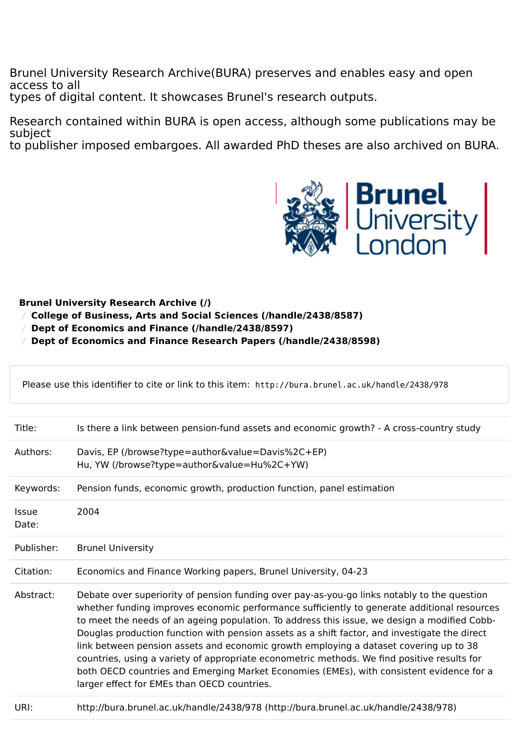Brunel University Research Archive(BURA) preserves and enables easy and open access to all types of digital content. It showcases Brunel's research outputs.

Research contained within BURA is open access, although some publications may be subject to publisher imposed embargoes. All awarded PhD theses are also archived on BURA.



## **[Brunel University Research Archive \(/\)](https://bura.brunel.ac.uk/)**

- / **[College of Business, Arts and Social Sciences \(/handle/2438/8587\)](https://bura.brunel.ac.uk/handle/2438/8587)**
- / **[Dept of Economics and Finance \(/handle/2438/8597\)](https://bura.brunel.ac.uk/handle/2438/8597)**

/ **[Dept of Economics and Finance Research Papers \(/handle/2438/8598\)](https://bura.brunel.ac.uk/handle/2438/8598)**

|                       | Please use this identifier to cite or link to this item: http://bura.brunel.ac.uk/handle/2438/978                                                                                                                                                                                                                                                                                                                                                                                                                                                                                                                                                                                                                              |  |  |  |
|-----------------------|--------------------------------------------------------------------------------------------------------------------------------------------------------------------------------------------------------------------------------------------------------------------------------------------------------------------------------------------------------------------------------------------------------------------------------------------------------------------------------------------------------------------------------------------------------------------------------------------------------------------------------------------------------------------------------------------------------------------------------|--|--|--|
| Title:                | Is there a link between pension-fund assets and economic growth? - A cross-country study                                                                                                                                                                                                                                                                                                                                                                                                                                                                                                                                                                                                                                       |  |  |  |
| Authors:              | Davis, EP (/browse?type=author&value=Davis%2C+EP)<br>Hu, YW (/browse?type=author&value=Hu%2C+YW)                                                                                                                                                                                                                                                                                                                                                                                                                                                                                                                                                                                                                               |  |  |  |
| Keywords:             | Pension funds, economic growth, production function, panel estimation                                                                                                                                                                                                                                                                                                                                                                                                                                                                                                                                                                                                                                                          |  |  |  |
| <b>Issue</b><br>Date: | 2004                                                                                                                                                                                                                                                                                                                                                                                                                                                                                                                                                                                                                                                                                                                           |  |  |  |
| Publisher:            | <b>Brunel University</b>                                                                                                                                                                                                                                                                                                                                                                                                                                                                                                                                                                                                                                                                                                       |  |  |  |
| Citation:             | Economics and Finance Working papers, Brunel University, 04-23                                                                                                                                                                                                                                                                                                                                                                                                                                                                                                                                                                                                                                                                 |  |  |  |
| Abstract:             | Debate over superiority of pension funding over pay-as-you-go links notably to the question<br>whether funding improves economic performance sufficiently to generate additional resources<br>to meet the needs of an ageing population. To address this issue, we design a modified Cobb-<br>Douglas production function with pension assets as a shift factor, and investigate the direct<br>link between pension assets and economic growth employing a dataset covering up to 38<br>countries, using a variety of appropriate econometric methods. We find positive results for<br>both OECD countries and Emerging Market Economies (EMEs), with consistent evidence for a<br>larger effect for EMEs than OECD countries. |  |  |  |
| URI:                  | http://bura.brunel.ac.uk/handle/2438/978 (http://bura.brunel.ac.uk/handle/2438/978)                                                                                                                                                                                                                                                                                                                                                                                                                                                                                                                                                                                                                                            |  |  |  |